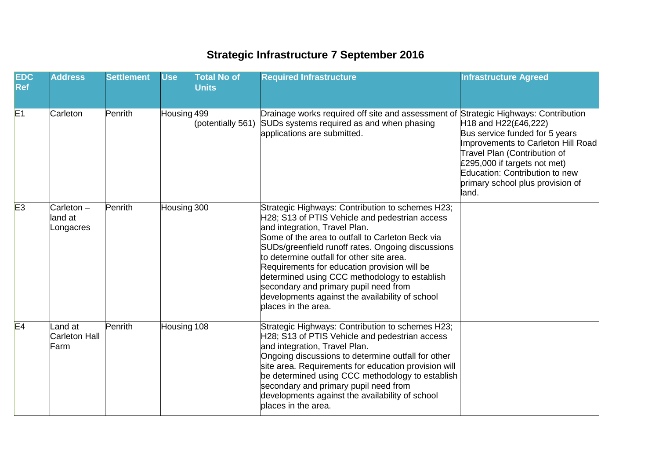## **Strategic Infrastructure 7 September 2016**

| <b>EDC</b><br><b>Ref</b> | <b>Address</b>                       | <b>Settlement</b> | <b>Use</b>  | <b>Total No of</b><br><b>Units</b> | <b>Required Infrastructure</b>                                                                                                                                                                                                                                                                                                                                                                                                                                                                                | <b>Infrastructure Agreed</b>                                                                                                                                                                                                                                         |
|--------------------------|--------------------------------------|-------------------|-------------|------------------------------------|---------------------------------------------------------------------------------------------------------------------------------------------------------------------------------------------------------------------------------------------------------------------------------------------------------------------------------------------------------------------------------------------------------------------------------------------------------------------------------------------------------------|----------------------------------------------------------------------------------------------------------------------------------------------------------------------------------------------------------------------------------------------------------------------|
| E1                       | Carleton                             | Penrith           | Housing 499 | (potentially 561)                  | Drainage works required off site and assessment of Strategic Highways: Contribution<br>SUDs systems required as and when phasing<br>applications are submitted.                                                                                                                                                                                                                                                                                                                                               | H <sub>18</sub> and H <sub>22</sub> (£46,222)<br>Bus service funded for 5 years<br>Improvements to Carleton Hill Road<br>Travel Plan (Contribution of<br>£295,000 if targets not met)<br>Education: Contribution to new<br>primary school plus provision of<br>land. |
| E3                       | $Carleton -$<br>land at<br>_ongacres | Penrith           | Housing 300 |                                    | Strategic Highways: Contribution to schemes H23;<br>H28; S13 of PTIS Vehicle and pedestrian access<br>and integration, Travel Plan.<br>Some of the area to outfall to Carleton Beck via<br>SUDs/greenfield runoff rates. Ongoing discussions<br>to determine outfall for other site area.<br>Requirements for education provision will be<br>determined using CCC methodology to establish<br>secondary and primary pupil need from<br>developments against the availability of school<br>blaces in the area. |                                                                                                                                                                                                                                                                      |
| E4                       | and at<br>Carleton Hall<br>Farm      | Penrith           | Housing 108 |                                    | Strategic Highways: Contribution to schemes H23;<br>H28; S13 of PTIS Vehicle and pedestrian access<br>and integration, Travel Plan.<br>Ongoing discussions to determine outfall for other<br>site area. Requirements for education provision will<br>be determined using CCC methodology to establish<br>secondary and primary pupil need from<br>developments against the availability of school<br>places in the area.                                                                                      |                                                                                                                                                                                                                                                                      |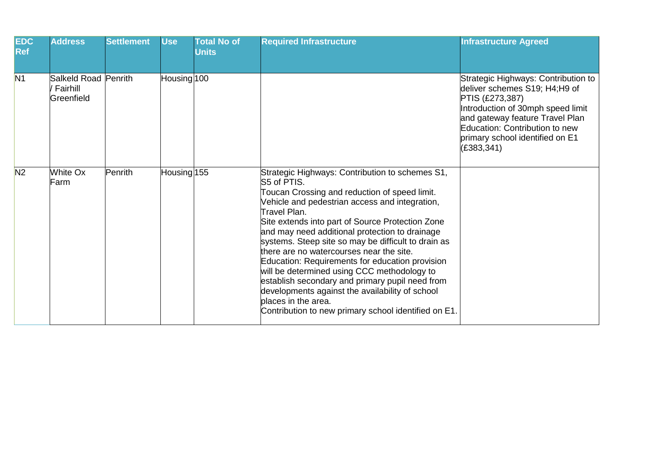| <b>EDC</b><br><b>Ref</b> | <b>Address</b>                                 | <b>Settlement</b> | <b>Use</b>  | <b>Total No of</b><br><b>Units</b> | <b>Required Infrastructure</b>                                                                                                                                                                                                                                                                                                                                                                                                                                                                                                                                                                                                                                                    | <b>Infrastructure Agreed</b>                                                                                                                                                                                                                        |
|--------------------------|------------------------------------------------|-------------------|-------------|------------------------------------|-----------------------------------------------------------------------------------------------------------------------------------------------------------------------------------------------------------------------------------------------------------------------------------------------------------------------------------------------------------------------------------------------------------------------------------------------------------------------------------------------------------------------------------------------------------------------------------------------------------------------------------------------------------------------------------|-----------------------------------------------------------------------------------------------------------------------------------------------------------------------------------------------------------------------------------------------------|
| N <sub>1</sub>           | Salkeld Road Penrith<br>Fairhill<br>Greenfield |                   | Housing 100 |                                    |                                                                                                                                                                                                                                                                                                                                                                                                                                                                                                                                                                                                                                                                                   | Strategic Highways: Contribution to<br>deliver schemes S19; H4;H9 of<br>PTIS (£273,387)<br>Introduction of 30mph speed limit<br>and gateway feature Travel Plan<br>Education: Contribution to new<br>primary school identified on E1<br>(E383, 341) |
| N <sub>2</sub>           | White Ox<br>Farm                               | Penrith           | Housing 155 |                                    | Strategic Highways: Contribution to schemes S1,<br>S5 of PTIS.<br>Toucan Crossing and reduction of speed limit.<br>Vehicle and pedestrian access and integration,<br>Travel Plan.<br>Site extends into part of Source Protection Zone<br>and may need additional protection to drainage<br>systems. Steep site so may be difficult to drain as<br>there are no watercourses near the site.<br>Education: Requirements for education provision<br>will be determined using CCC methodology to<br>establish secondary and primary pupil need from<br>developments against the availability of school<br>places in the area.<br>Contribution to new primary school identified on E1. |                                                                                                                                                                                                                                                     |